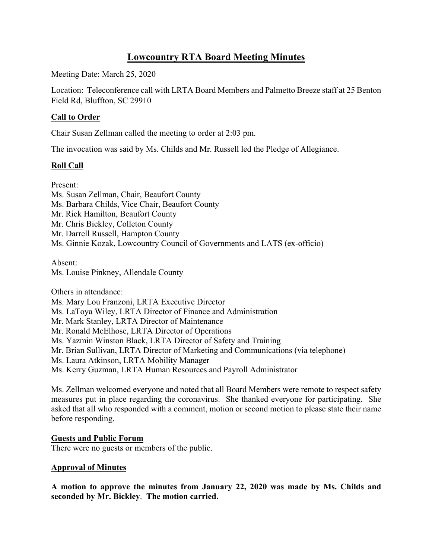# **Lowcountry RTA Board Meeting Minutes**

Meeting Date: March 25, 2020

Location: Teleconference call with LRTA Board Members and Palmetto Breeze staff at 25 Benton Field Rd, Bluffton, SC 29910

### **Call to Order**

Chair Susan Zellman called the meeting to order at 2:03 pm.

The invocation was said by Ms. Childs and Mr. Russell led the Pledge of Allegiance.

### **Roll Call**

Present: Ms. Susan Zellman, Chair, Beaufort County Ms. Barbara Childs, Vice Chair, Beaufort County Mr. Rick Hamilton, Beaufort County Mr. Chris Bickley, Colleton County Mr. Darrell Russell, Hampton County Ms. Ginnie Kozak, Lowcountry Council of Governments and LATS (ex-officio)

Absent: Ms. Louise Pinkney, Allendale County

Others in attendance:

Ms. Mary Lou Franzoni, LRTA Executive Director Ms. LaToya Wiley, LRTA Director of Finance and Administration Mr. Mark Stanley, LRTA Director of Maintenance Mr. Ronald McElhose, LRTA Director of Operations Ms. Yazmin Winston Black, LRTA Director of Safety and Training Mr. Brian Sullivan, LRTA Director of Marketing and Communications (via telephone) Ms. Laura Atkinson, LRTA Mobility Manager Ms. Kerry Guzman, LRTA Human Resources and Payroll Administrator

Ms. Zellman welcomed everyone and noted that all Board Members were remote to respect safety measures put in place regarding the coronavirus. She thanked everyone for participating. She asked that all who responded with a comment, motion or second motion to please state their name before responding.

#### **Guests and Public Forum**

There were no guests or members of the public.

#### **Approval of Minutes**

**A motion to approve the minutes from January 22, 2020 was made by Ms. Childs and seconded by Mr. Bickley**. **The motion carried.**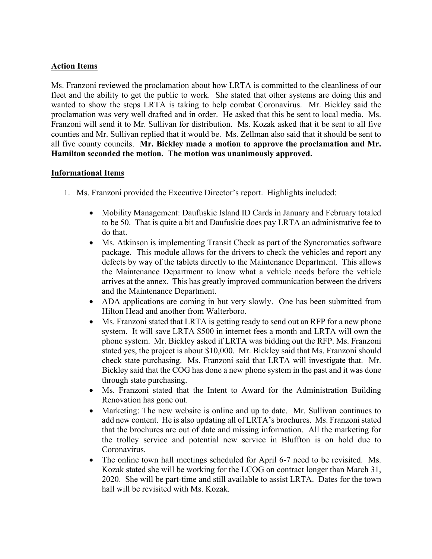## **Action Items**

Ms. Franzoni reviewed the proclamation about how LRTA is committed to the cleanliness of our fleet and the ability to get the public to work. She stated that other systems are doing this and wanted to show the steps LRTA is taking to help combat Coronavirus. Mr. Bickley said the proclamation was very well drafted and in order. He asked that this be sent to local media. Ms. Franzoni will send it to Mr. Sullivan for distribution. Ms. Kozak asked that it be sent to all five counties and Mr. Sullivan replied that it would be. Ms. Zellman also said that it should be sent to all five county councils. **Mr. Bickley made a motion to approve the proclamation and Mr. Hamilton seconded the motion. The motion was unanimously approved.**

### **Informational Items**

- 1. Ms. Franzoni provided the Executive Director's report. Highlights included:
	- Mobility Management: Daufuskie Island ID Cards in January and February totaled to be 50. That is quite a bit and Daufuskie does pay LRTA an administrative fee to do that.
	- Ms. Atkinson is implementing Transit Check as part of the Syncromatics software package. This module allows for the drivers to check the vehicles and report any defects by way of the tablets directly to the Maintenance Department. This allows the Maintenance Department to know what a vehicle needs before the vehicle arrives at the annex. This has greatly improved communication between the drivers and the Maintenance Department.
	- ADA applications are coming in but very slowly. One has been submitted from Hilton Head and another from Walterboro.
	- Ms. Franzoni stated that LRTA is getting ready to send out an RFP for a new phone system. It will save LRTA \$500 in internet fees a month and LRTA will own the phone system. Mr. Bickley asked if LRTA was bidding out the RFP. Ms. Franzoni stated yes, the project is about \$10,000. Mr. Bickley said that Ms. Franzoni should check state purchasing. Ms. Franzoni said that LRTA will investigate that. Mr. Bickley said that the COG has done a new phone system in the past and it was done through state purchasing.
	- Ms. Franzoni stated that the Intent to Award for the Administration Building Renovation has gone out.
	- Marketing: The new website is online and up to date. Mr. Sullivan continues to add new content. He is also updating all of LRTA's brochures. Ms. Franzoni stated that the brochures are out of date and missing information. All the marketing for the trolley service and potential new service in Bluffton is on hold due to Coronavirus.
	- The online town hall meetings scheduled for April 6-7 need to be revisited. Ms. Kozak stated she will be working for the LCOG on contract longer than March 31, 2020. She will be part-time and still available to assist LRTA. Dates for the town hall will be revisited with Ms. Kozak.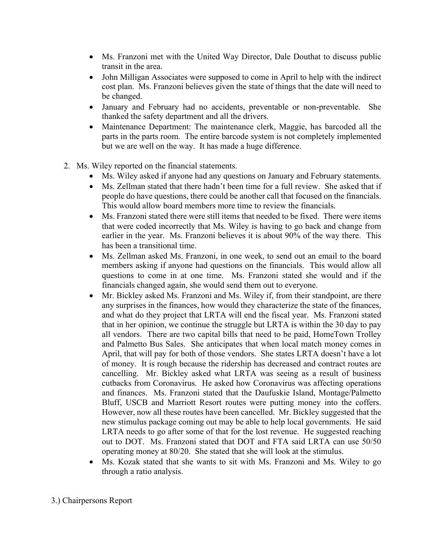- Ms. Franzoni met with the United Way Director, Dale Douthat to discuss public transit in the area.
- John Milligan Associates were supposed to come in April to help with the indirect cost plan. Ms. Franzoni believes given the state of things that the date will need to be changed.
- January and February had no accidents, preventable or non-preventable. She thanked the safety department and all the drivers.
- Maintenance Department: The maintenance clerk, Maggie, has barcoded all the parts in the parts room. The entire barcode system is not completely implemented but we are well on the way. It has made a huge difference.
- 2. Ms. Wiley reported on the financial statements.
	- Ms. Wiley asked if anyone had any questions on January and February statements.
	- Ms. Zellman stated that there hadn't been time for a full review. She asked that if people do have questions, there could be another call that focused on the financials. This would allow board members more time to review the financials.
	- Ms. Franzoni stated there were still items that needed to be fixed. There were items that were coded incorrectly that Ms. Wiley is having to go back and change from earlier in the year. Ms. Franzoni believes it is about 90% of the way there. This has been a transitional time.
	- Ms. Zellman asked Ms. Franzoni, in one week, to send out an email to the board members asking if anyone had questions on the financials. This would allow all questions to come in at one time. Ms. Franzoni stated she would and if the financials changed again, she would send them out to everyone.
	- Mr. Bickley asked Ms. Franzoni and Ms. Wiley if, from their standpoint, are there any surprises in the finances, how would they characterize the state of the finances, and what do they project that LRTA will end the fiscal year. Ms. Franzoni stated that in her opinion, we continue the struggle but LRTA is within the 30 day to pay all vendors. There are two capital bills that need to be paid, HomeTown Trolley and Palmetto Bus Sales. She anticipates that when local match money comes in April, that will pay for both of those vendors. She states LRTA doesn't have a lot of money. It is rough because the ridership has decreased and contract routes are cancelling. Mr. Bickley asked what LRTA was seeing as a result of business cutbacks from Coronavirus. He asked how Coronavirus was affecting operations and finances. Ms. Franzoni stated that the Daufuskie Island, Montage/Palmetto Bluff, USCB and Marriott Resort routes were putting money into the coffers. However, now all these routes have been cancelled. Mr. Bickley suggested that the new stimulus package coming out may be able to help local governments. He said LRTA needs to go after some of that for the lost revenue. He suggested reaching out to DOT. Ms. Franzoni stated that DOT and FTA said LRTA can use 50/50 operating money at 80/20. She stated that she will look at the stimulus.
	- Ms. Kozak stated that she wants to sit with Ms. Franzoni and Ms. Wiley to go through a ratio analysis.
- 3.) Chairpersons Report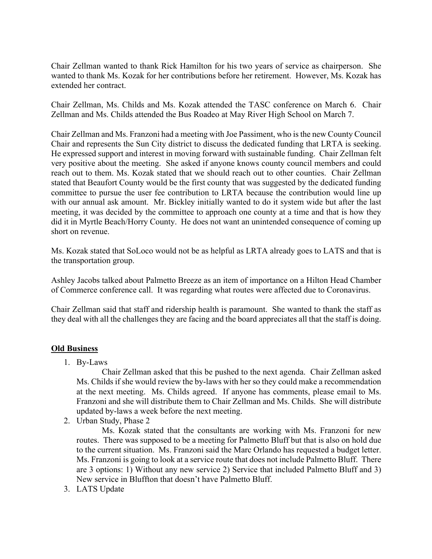Chair Zellman wanted to thank Rick Hamilton for his two years of service as chairperson. She wanted to thank Ms. Kozak for her contributions before her retirement. However, Ms. Kozak has extended her contract.

Chair Zellman, Ms. Childs and Ms. Kozak attended the TASC conference on March 6. Chair Zellman and Ms. Childs attended the Bus Roadeo at May River High School on March 7.

Chair Zellman and Ms. Franzoni had a meeting with Joe Passiment, who is the new County Council Chair and represents the Sun City district to discuss the dedicated funding that LRTA is seeking. He expressed support and interest in moving forward with sustainable funding. Chair Zellman felt very positive about the meeting. She asked if anyone knows county council members and could reach out to them. Ms. Kozak stated that we should reach out to other counties. Chair Zellman stated that Beaufort County would be the first county that was suggested by the dedicated funding committee to pursue the user fee contribution to LRTA because the contribution would line up with our annual ask amount. Mr. Bickley initially wanted to do it system wide but after the last meeting, it was decided by the committee to approach one county at a time and that is how they did it in Myrtle Beach/Horry County. He does not want an unintended consequence of coming up short on revenue.

Ms. Kozak stated that SoLoco would not be as helpful as LRTA already goes to LATS and that is the transportation group.

Ashley Jacobs talked about Palmetto Breeze as an item of importance on a Hilton Head Chamber of Commerce conference call. It was regarding what routes were affected due to Coronavirus.

Chair Zellman said that staff and ridership health is paramount. She wanted to thank the staff as they deal with all the challenges they are facing and the board appreciates all that the staff is doing.

### **Old Business**

1. By-Laws

Chair Zellman asked that this be pushed to the next agenda. Chair Zellman asked Ms. Childs if she would review the by-laws with her so they could make a recommendation at the next meeting. Ms. Childs agreed. If anyone has comments, please email to Ms. Franzoni and she will distribute them to Chair Zellman and Ms. Childs. She will distribute updated by-laws a week before the next meeting.

2. Urban Study, Phase 2

Ms. Kozak stated that the consultants are working with Ms. Franzoni for new routes. There was supposed to be a meeting for Palmetto Bluff but that is also on hold due to the current situation. Ms. Franzoni said the Marc Orlando has requested a budget letter. Ms. Franzoni is going to look at a service route that does not include Palmetto Bluff. There are 3 options: 1) Without any new service 2) Service that included Palmetto Bluff and 3) New service in Bluffton that doesn't have Palmetto Bluff.

3. LATS Update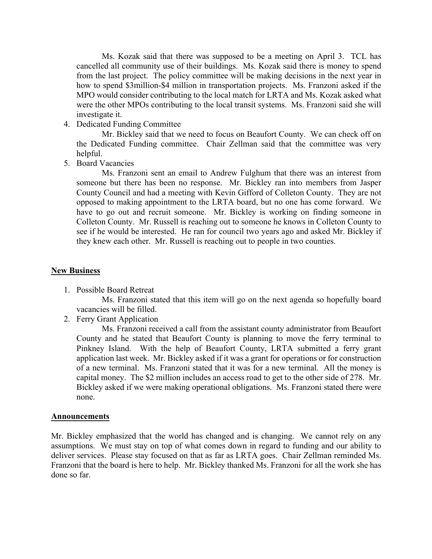Ms. Kozak said that there was supposed to be a meeting on April 3. TCL has cancelled all community use of their buildings. Ms. Kozak said there is money to spend from the last project. The policy committee will be making decisions in the next year in how to spend \$3million-\$4 million in transportation projects. Ms. Franzoni asked if the MPO would consider contributing to the local match for LRTA and Ms. Kozak asked what were the other MPOs contributing to the local transit systems. Ms. Franzoni said she will investigate it.

4. Dedicated Funding Committee

Mr. Bickley said that we need to focus on Beaufort County. We can check off on the Dedicated Funding committee. Chair Zellman said that the committee was very helpful.

5. Board Vacancies

Ms. Franzoni sent an email to Andrew Fulghum that there was an interest from someone but there has been no response. Mr. Bickley ran into members from Jasper County Council and had a meeting with Kevin Gifford of Colleton County. They are not opposed to making appointment to the LRTA board, but no one has come forward. We have to go out and recruit someone. Mr. Bickley is working on finding someone in Colleton County. Mr. Russell is reaching out to someone he knows in Colleton County to see if he would be interested. He ran for council two years ago and asked Mr. Bickley if they knew each other. Mr. Russell is reaching out to people in two counties.

#### **New Business**

1. Possible Board Retreat

Ms. Franzoni stated that this item will go on the next agenda so hopefully board vacancies will be filled.

2. Ferry Grant Application

Ms. Franzoni received a call from the assistant county administrator from Beaufort County and he stated that Beaufort County is planning to move the ferry terminal to Pinkney Island. With the help of Beaufort County, LRTA submitted a ferry grant application last week. Mr. Bickley asked if it was a grant for operations or for construction of a new terminal. Ms. Franzoni stated that it was for a new terminal. All the money is capital money. The \$2 million includes an access road to get to the other side of 278. Mr. Bickley asked if we were making operational obligations. Ms. Franzoni stated there were none.

#### **Announcements**

Mr. Bickley emphasized that the world has changed and is changing. We cannot rely on any assumptions. We must stay on top of what comes down in regard to funding and our ability to deliver services. Please stay focused on that as far as LRTA goes. Chair Zellman reminded Ms. Franzoni that the board is here to help. Mr. Bickley thanked Ms. Franzoni for all the work she has done so far.